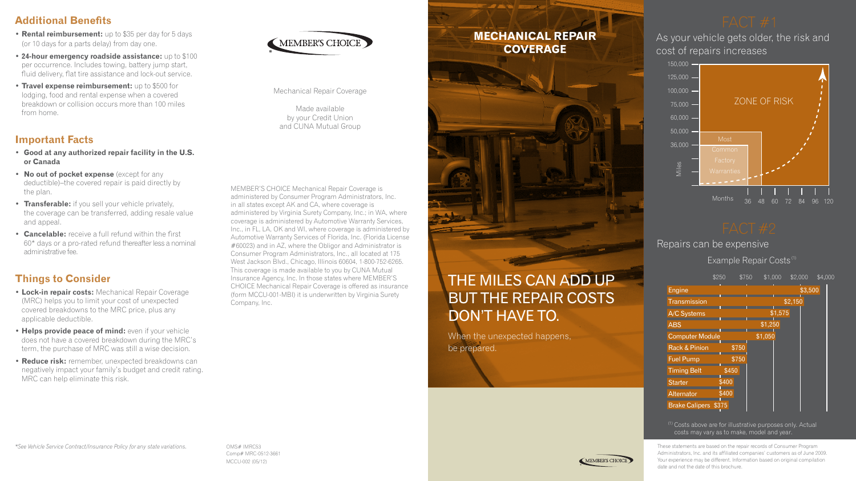# THE MILES CAN ADD UP BUT THE REPAIR COSTS DON'T HAVE TO.

When the unexpected happens, be prepared.

# **MECHANICAL REPAIR COVERAGE**



These statements are based on the repair records of Consumer Program Administrators, Inc. and its affiliated companies' customers as of June 2009. Your experience may be different. Information based on original compilation date and not the date of this brochure.



(1) Costs above are for illustrative purposes only. Actual costs may vary as to make, model and year.

- **Rental reimbursement:** up to \$35 per day for 5 days (or 10 days for a parts delay) from day one.
- **24-hour emergency roadside assistance:** up to \$100 per occurrence. Includes towing, battery jump start, fluid delivery, flat tire assistance and lock-out service.
- **Travel expense reimbursement:** up to \$500 for lodging, food and rental expense when a covered breakdown or collision occurs more than 100 miles from home.

|                             | \$250 | \$750 |         | \$1,000 | \$2,000 |         | \$4,000 |  |
|-----------------------------|-------|-------|---------|---------|---------|---------|---------|--|
| Engine                      |       |       |         |         |         | \$3,500 |         |  |
| <b>Transmission</b>         |       |       |         |         | \$2,150 |         |         |  |
| A/C Systems                 |       |       |         | \$1,575 |         |         |         |  |
| ABS                         |       |       | \$1,250 |         |         |         |         |  |
| <b>Computer Module</b>      |       |       | \$1,050 |         |         |         |         |  |
| <b>Rack &amp; Pinion</b>    | \$750 |       |         |         |         |         |         |  |
| <b>Fuel Pump</b>            | \$750 |       |         |         |         |         |         |  |
| <b>Timing Belt</b>          | \$450 |       |         |         |         |         |         |  |
| Starter                     | \$400 |       |         |         |         |         |         |  |
| Alternator                  | \$400 |       |         |         |         |         |         |  |
| <b>Brake Calipers \$375</b> |       |       |         |         |         |         |         |  |

## **Additional Benefits**

- **Lock-in repair costs:** Mechanical Repair Coverage (MRC) helps you to limit your cost of unexpected covered breakdowns to the MRC price, plus any applicable deductible.
- **Helps provide peace of mind:** even if your vehicle does not have a covered breakdown during the MRC's term, the purchase of MRC was still a wise decision.
- **Reduce risk:** remember, unexpected breakdowns can negatively impact your family's budget and credit rating. MRC can help eliminate this risk.



- • **Good at any authorized repair facility in the U.S. or Canada**
- • **No out of pocket expense** (except for any deductible)–the covered repair is paid directly by the plan.
- **Transferable:** if you sell your vehicle privately, the coverage can be transferred, adding resale value and appeal.
- • **Cancelable:** receive a full refund within the first 60\* days or a pro-rated refund thereafter less a nominal administrative fee.

## **Things to Consider**



MCCU-002 (05/12) OMS# IMRC53 Comp# MRC-0512-3661



*\*See Vehicle Service Contract/Insurance Policy for any state variations.*



## Repairs can be expensive

## Example Repair Costs<sup>(1</sup>)

## As your vehicle gets older, the risk and cost of repairs increases

Mechanical Repair Coverage

Made available by your Credit Union and CUNA Mutual Group

MEMBER'S CHOICE Mechanical Repair Coverage is administered by Consumer Program Administrators, Inc. in all states except AK and CA, where coverage is administered by Virginia Surety Company, Inc.; in WA, where coverage is administered by Automotive Warranty Services, Inc., in FL, LA, OK and WI, where coverage is administered by Automotive Warranty Services of Florida, Inc. (Florida License #60023) and in AZ, where the Obligor and Administrator is Consumer Program Administrators, Inc., all located at 175 West Jackson Blvd., Chicago, Illinois 60604, 1-800-752-6265. This coverage is made available to you by CUNA Mutual Insurance Agency, Inc. In those states where MEMBER'S CHOICE Mechanical Repair Coverage is offered as insurance (form MCCU-001-MBI) it is underwritten by Virginia Surety Company, Inc.